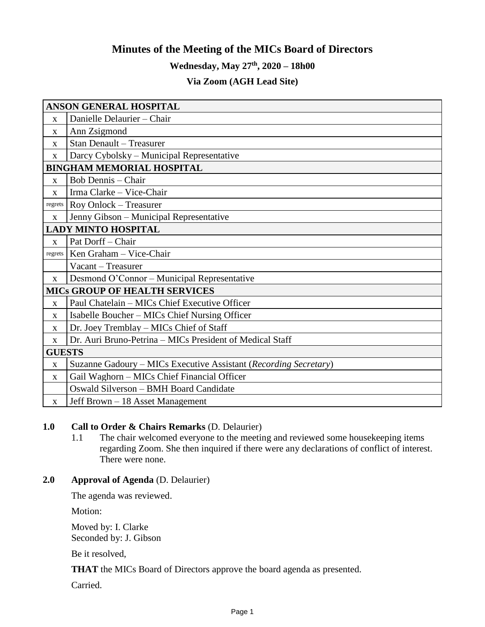# **Minutes of the Meeting of the MICs Board of Directors**

# **Wednesday, May 27th , 2020 – 18h00**

# **Via Zoom (AGH Lead Site)**

| <b>ANSON GENERAL HOSPITAL</b>        |                                                                  |
|--------------------------------------|------------------------------------------------------------------|
| X                                    | Danielle Delaurier - Chair                                       |
| $\mathbf X$                          | Ann Zsigmond                                                     |
| X                                    | <b>Stan Denault - Treasurer</b>                                  |
| $\mathbf X$                          | Darcy Cybolsky - Municipal Representative                        |
| <b>BINGHAM MEMORIAL HOSPITAL</b>     |                                                                  |
| X                                    | <b>Bob Dennis</b> – Chair                                        |
| X                                    | Irma Clarke - Vice-Chair                                         |
| regrets                              | Roy Onlock - Treasurer                                           |
| X                                    | Jenny Gibson - Municipal Representative                          |
| <b>LADY MINTO HOSPITAL</b>           |                                                                  |
| $\mathbf X$                          | Pat Dorff - Chair                                                |
| regrets                              | Ken Graham - Vice-Chair                                          |
|                                      | Vacant - Treasurer                                               |
| $\mathbf{x}$                         | Desmond O'Connor - Municipal Representative                      |
| <b>MICS GROUP OF HEALTH SERVICES</b> |                                                                  |
| $\mathbf X$                          | Paul Chatelain - MICs Chief Executive Officer                    |
| X                                    | Isabelle Boucher – MICs Chief Nursing Officer                    |
| X                                    | Dr. Joey Tremblay - MICs Chief of Staff                          |
| X                                    | Dr. Auri Bruno-Petrina - MICs President of Medical Staff         |
| <b>GUESTS</b>                        |                                                                  |
| $\mathbf X$                          | Suzanne Gadoury – MICs Executive Assistant (Recording Secretary) |
| X                                    | Gail Waghorn – MICs Chief Financial Officer                      |
|                                      | Oswald Silverson - BMH Board Candidate                           |
| $\mathbf{X}$                         | Jeff Brown – 18 Asset Management                                 |

## **1.0 Call to Order & Chairs Remarks** (D. Delaurier)

1.1 The chair welcomed everyone to the meeting and reviewed some housekeeping items regarding Zoom. She then inquired if there were any declarations of conflict of interest. There were none.

# **2.0 Approval of Agenda** (D. Delaurier)

The agenda was reviewed.

Motion:

Moved by: I. Clarke Seconded by: J. Gibson

Be it resolved,

**THAT** the MICs Board of Directors approve the board agenda as presented.

Carried.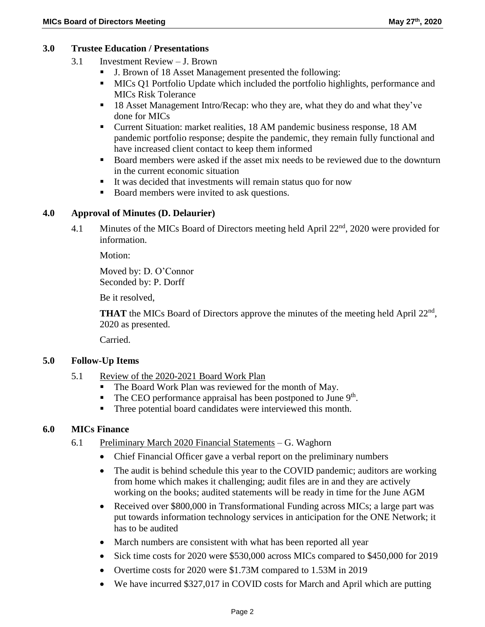### **3.0 Trustee Education / Presentations**

- 3.1 Investment Review J. Brown
	- J. Brown of 18 Asset Management presented the following:
	- MICs Q1 Portfolio Update which included the portfolio highlights, performance and MICs Risk Tolerance
	- 18 Asset Management Intro/Recap: who they are, what they do and what they've done for MICs
	- Current Situation: market realities, 18 AM pandemic business response, 18 AM pandemic portfolio response; despite the pandemic, they remain fully functional and have increased client contact to keep them informed
	- Board members were asked if the asset mix needs to be reviewed due to the downturn in the current economic situation
	- It was decided that investments will remain status quo for now
	- Board members were invited to ask questions.

## **4.0 Approval of Minutes (D. Delaurier)**

4.1 Minutes of the MICs Board of Directors meeting held April 22<sup>nd</sup>, 2020 were provided for information.

Motion:

Moved by: D. O'Connor Seconded by: P. Dorff

Be it resolved,

THAT the MICs Board of Directors approve the minutes of the meeting held April 22<sup>nd</sup>, 2020 as presented.

Carried.

### **5.0 Follow-Up Items**

- 5.1 Review of the 2020-2021 Board Work Plan
	- The Board Work Plan was reviewed for the month of May.
	- $\blacksquare$  The CEO performance appraisal has been postponed to June 9<sup>th</sup>.
	- Three potential board candidates were interviewed this month.

### **6.0 MICs Finance**

- 6.1 Preliminary March 2020 Financial Statements G. Waghorn
	- Chief Financial Officer gave a verbal report on the preliminary numbers
	- The audit is behind schedule this year to the COVID pandemic; auditors are working from home which makes it challenging; audit files are in and they are actively working on the books; audited statements will be ready in time for the June AGM
	- Received over \$800,000 in Transformational Funding across MICs; a large part was put towards information technology services in anticipation for the ONE Network; it has to be audited
	- March numbers are consistent with what has been reported all year
	- Sick time costs for 2020 were \$530,000 across MICs compared to \$450,000 for 2019
	- Overtime costs for 2020 were \$1.73M compared to 1.53M in 2019
	- We have incurred \$327,017 in COVID costs for March and April which are putting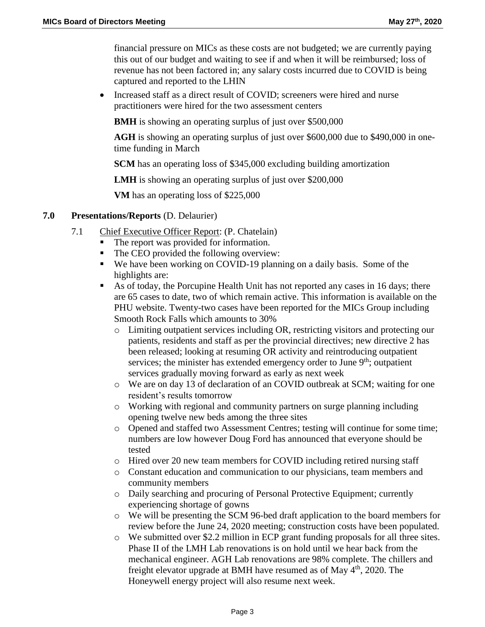financial pressure on MICs as these costs are not budgeted; we are currently paying this out of our budget and waiting to see if and when it will be reimbursed; loss of revenue has not been factored in; any salary costs incurred due to COVID is being captured and reported to the LHIN

• Increased staff as a direct result of COVID; screeners were hired and nurse practitioners were hired for the two assessment centers

**BMH** is showing an operating surplus of just over \$500,000

**AGH** is showing an operating surplus of just over \$600,000 due to \$490,000 in onetime funding in March

**SCM** has an operating loss of \$345,000 excluding building amortization

**LMH** is showing an operating surplus of just over \$200,000

**VM** has an operating loss of \$225,000

### **7.0 Presentations/Reports** (D. Delaurier)

- 7.1 Chief Executive Officer Report: (P. Chatelain)
	- The report was provided for information.
	- The CEO provided the following overview:
	- We have been working on COVID-19 planning on a daily basis. Some of the highlights are:
	- As of today, the Porcupine Health Unit has not reported any cases in 16 days; there are 65 cases to date, two of which remain active. This information is available on the PHU website. Twenty-two cases have been reported for the MICs Group including Smooth Rock Falls which amounts to 30%
		- o Limiting outpatient services including OR, restricting visitors and protecting our patients, residents and staff as per the provincial directives; new directive 2 has been released; looking at resuming OR activity and reintroducing outpatient services; the minister has extended emergency order to June  $9<sup>th</sup>$ ; outpatient services gradually moving forward as early as next week
		- o We are on day 13 of declaration of an COVID outbreak at SCM; waiting for one resident's results tomorrow
		- $\circ$  Working with regional and community partners on surge planning including opening twelve new beds among the three sites
		- o Opened and staffed two Assessment Centres; testing will continue for some time; numbers are low however Doug Ford has announced that everyone should be tested
		- o Hired over 20 new team members for COVID including retired nursing staff
		- o Constant education and communication to our physicians, team members and community members
		- o Daily searching and procuring of Personal Protective Equipment; currently experiencing shortage of gowns
		- o We will be presenting the SCM 96-bed draft application to the board members for review before the June 24, 2020 meeting; construction costs have been populated.
		- o We submitted over \$2.2 million in ECP grant funding proposals for all three sites. Phase II of the LMH Lab renovations is on hold until we hear back from the mechanical engineer. AGH Lab renovations are 98% complete. The chillers and freight elevator upgrade at BMH have resumed as of May 4<sup>th</sup>, 2020. The Honeywell energy project will also resume next week.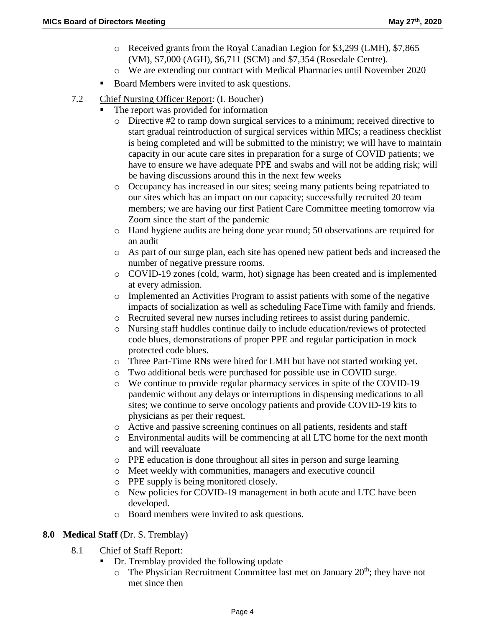- o Received grants from the Royal Canadian Legion for \$3,299 (LMH), \$7,865 (VM), \$7,000 (AGH), \$6,711 (SCM) and \$7,354 (Rosedale Centre).
- o We are extending our contract with Medical Pharmacies until November 2020
- Board Members were invited to ask questions.
- 7.2 Chief Nursing Officer Report: (I. Boucher)
	- The report was provided for information
		- $\circ$  Directive #2 to ramp down surgical services to a minimum; received directive to start gradual reintroduction of surgical services within MICs; a readiness checklist is being completed and will be submitted to the ministry; we will have to maintain capacity in our acute care sites in preparation for a surge of COVID patients; we have to ensure we have adequate PPE and swabs and will not be adding risk; will be having discussions around this in the next few weeks
		- o Occupancy has increased in our sites; seeing many patients being repatriated to our sites which has an impact on our capacity; successfully recruited 20 team members; we are having our first Patient Care Committee meeting tomorrow via Zoom since the start of the pandemic
		- o Hand hygiene audits are being done year round; 50 observations are required for an audit
		- o As part of our surge plan, each site has opened new patient beds and increased the number of negative pressure rooms.
		- o COVID-19 zones (cold, warm, hot) signage has been created and is implemented at every admission.
		- o Implemented an Activities Program to assist patients with some of the negative impacts of socialization as well as scheduling FaceTime with family and friends.
		- o Recruited several new nurses including retirees to assist during pandemic.
		- o Nursing staff huddles continue daily to include education/reviews of protected code blues, demonstrations of proper PPE and regular participation in mock protected code blues.
		- o Three Part-Time RNs were hired for LMH but have not started working yet.
		- o Two additional beds were purchased for possible use in COVID surge.
		- o We continue to provide regular pharmacy services in spite of the COVID-19 pandemic without any delays or interruptions in dispensing medications to all sites; we continue to serve oncology patients and provide COVID-19 kits to physicians as per their request.
		- o Active and passive screening continues on all patients, residents and staff
		- o Environmental audits will be commencing at all LTC home for the next month and will reevaluate
		- o PPE education is done throughout all sites in person and surge learning
		- o Meet weekly with communities, managers and executive council
		- o PPE supply is being monitored closely.
		- o New policies for COVID-19 management in both acute and LTC have been developed.
		- o Board members were invited to ask questions.

### **8.0 Medical Staff** (Dr. S. Tremblay)

- 8.1 Chief of Staff Report:
	- Dr. Tremblay provided the following update
		- $\circ$  The Physician Recruitment Committee last met on January 20<sup>th</sup>; they have not met since then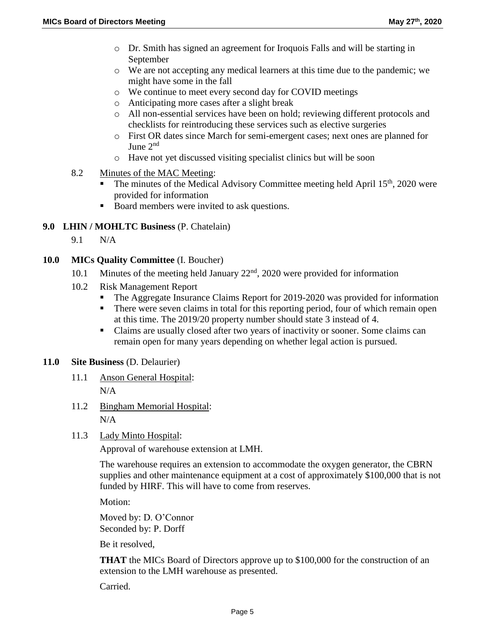- o Dr. Smith has signed an agreement for Iroquois Falls and will be starting in September
- o We are not accepting any medical learners at this time due to the pandemic; we might have some in the fall
- o We continue to meet every second day for COVID meetings
- o Anticipating more cases after a slight break
- o All non-essential services have been on hold; reviewing different protocols and checklists for reintroducing these services such as elective surgeries
- o First OR dates since March for semi-emergent cases; next ones are planned for June 2<sup>nd</sup>
- o Have not yet discussed visiting specialist clinics but will be soon
- 8.2 Minutes of the MAC Meeting:
	- The minutes of the Medical Advisory Committee meeting held April  $15<sup>th</sup>$ , 2020 were provided for information
	- Board members were invited to ask questions.

#### **9.0 LHIN / MOHLTC Business** (P. Chatelain)

9.1 N/A

#### **10.0 MICs Quality Committee** (I. Boucher)

- 10.1 Minutes of the meeting held January  $22<sup>nd</sup>$ , 2020 were provided for information
- 10.2 Risk Management Report
	- The Aggregate Insurance Claims Report for 2019-2020 was provided for information
	- There were seven claims in total for this reporting period, four of which remain open at this time. The 2019/20 property number should state 3 instead of 4.
	- Claims are usually closed after two years of inactivity or sooner. Some claims can remain open for many years depending on whether legal action is pursued.

#### **11.0 Site Business** (D. Delaurier)

- 11.1 Anson General Hospital:  $N/A$
- 11.2 Bingham Memorial Hospital: N/A
- 11.3 Lady Minto Hospital:

Approval of warehouse extension at LMH.

The warehouse requires an extension to accommodate the oxygen generator, the CBRN supplies and other maintenance equipment at a cost of approximately \$100,000 that is not funded by HIRF. This will have to come from reserves.

Motion:

Moved by: D. O'Connor Seconded by: P. Dorff

Be it resolved,

**THAT** the MICs Board of Directors approve up to \$100,000 for the construction of an extension to the LMH warehouse as presented.

Carried.